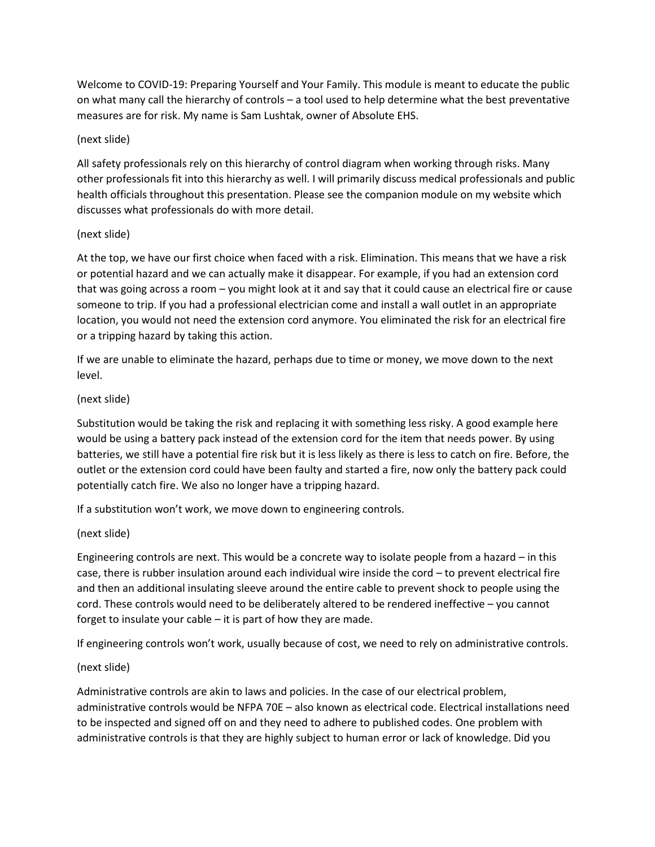Welcome to COVID-19: Preparing Yourself and Your Family. This module is meant to educate the public on what many call the hierarchy of controls – a tool used to help determine what the best preventative measures are for risk. My name is Sam Lushtak, owner of Absolute EHS.

### (next slide)

All safety professionals rely on this hierarchy of control diagram when working through risks. Many other professionals fit into this hierarchy as well. I will primarily discuss medical professionals and public health officials throughout this presentation. Please see the companion module on my website which discusses what professionals do with more detail.

#### (next slide)

At the top, we have our first choice when faced with a risk. Elimination. This means that we have a risk or potential hazard and we can actually make it disappear. For example, if you had an extension cord that was going across a room – you might look at it and say that it could cause an electrical fire or cause someone to trip. If you had a professional electrician come and install a wall outlet in an appropriate location, you would not need the extension cord anymore. You eliminated the risk for an electrical fire or a tripping hazard by taking this action.

If we are unable to eliminate the hazard, perhaps due to time or money, we move down to the next level.

## (next slide)

Substitution would be taking the risk and replacing it with something less risky. A good example here would be using a battery pack instead of the extension cord for the item that needs power. By using batteries, we still have a potential fire risk but it is less likely as there is less to catch on fire. Before, the outlet or the extension cord could have been faulty and started a fire, now only the battery pack could potentially catch fire. We also no longer have a tripping hazard.

If a substitution won't work, we move down to engineering controls.

#### (next slide)

Engineering controls are next. This would be a concrete way to isolate people from a hazard – in this case, there is rubber insulation around each individual wire inside the cord – to prevent electrical fire and then an additional insulating sleeve around the entire cable to prevent shock to people using the cord. These controls would need to be deliberately altered to be rendered ineffective – you cannot forget to insulate your cable – it is part of how they are made.

If engineering controls won't work, usually because of cost, we need to rely on administrative controls.

# (next slide)

Administrative controls are akin to laws and policies. In the case of our electrical problem, administrative controls would be NFPA 70E – also known as electrical code. Electrical installations need to be inspected and signed off on and they need to adhere to published codes. One problem with administrative controls is that they are highly subject to human error or lack of knowledge. Did you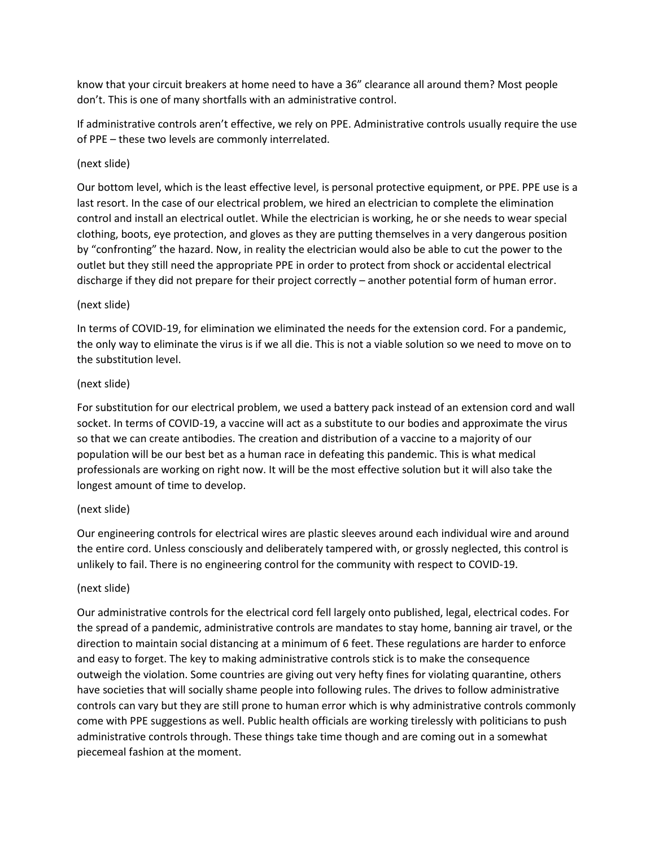know that your circuit breakers at home need to have a 36" clearance all around them? Most people don't. This is one of many shortfalls with an administrative control.

If administrative controls aren't effective, we rely on PPE. Administrative controls usually require the use of PPE – these two levels are commonly interrelated.

## (next slide)

Our bottom level, which is the least effective level, is personal protective equipment, or PPE. PPE use is a last resort. In the case of our electrical problem, we hired an electrician to complete the elimination control and install an electrical outlet. While the electrician is working, he or she needs to wear special clothing, boots, eye protection, and gloves as they are putting themselves in a very dangerous position by "confronting" the hazard. Now, in reality the electrician would also be able to cut the power to the outlet but they still need the appropriate PPE in order to protect from shock or accidental electrical discharge if they did not prepare for their project correctly – another potential form of human error.

## (next slide)

In terms of COVID-19, for elimination we eliminated the needs for the extension cord. For a pandemic, the only way to eliminate the virus is if we all die. This is not a viable solution so we need to move on to the substitution level.

## (next slide)

For substitution for our electrical problem, we used a battery pack instead of an extension cord and wall socket. In terms of COVID-19, a vaccine will act as a substitute to our bodies and approximate the virus so that we can create antibodies. The creation and distribution of a vaccine to a majority of our population will be our best bet as a human race in defeating this pandemic. This is what medical professionals are working on right now. It will be the most effective solution but it will also take the longest amount of time to develop.

# (next slide)

Our engineering controls for electrical wires are plastic sleeves around each individual wire and around the entire cord. Unless consciously and deliberately tampered with, or grossly neglected, this control is unlikely to fail. There is no engineering control for the community with respect to COVID-19.

#### (next slide)

Our administrative controls for the electrical cord fell largely onto published, legal, electrical codes. For the spread of a pandemic, administrative controls are mandates to stay home, banning air travel, or the direction to maintain social distancing at a minimum of 6 feet. These regulations are harder to enforce and easy to forget. The key to making administrative controls stick is to make the consequence outweigh the violation. Some countries are giving out very hefty fines for violating quarantine, others have societies that will socially shame people into following rules. The drives to follow administrative controls can vary but they are still prone to human error which is why administrative controls commonly come with PPE suggestions as well. Public health officials are working tirelessly with politicians to push administrative controls through. These things take time though and are coming out in a somewhat piecemeal fashion at the moment.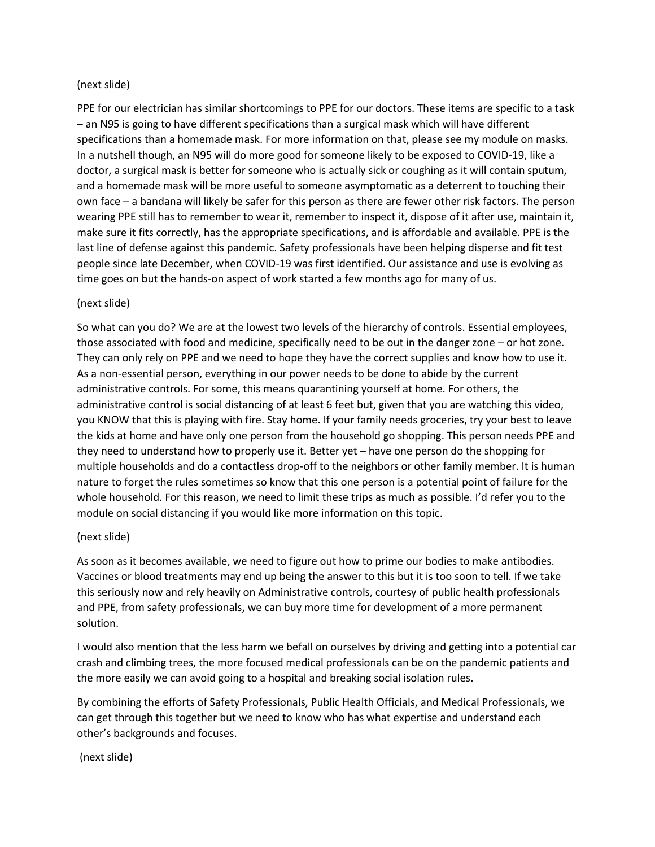#### (next slide)

PPE for our electrician has similar shortcomings to PPE for our doctors. These items are specific to a task – an N95 is going to have different specifications than a surgical mask which will have different specifications than a homemade mask. For more information on that, please see my module on masks. In a nutshell though, an N95 will do more good for someone likely to be exposed to COVID-19, like a doctor, a surgical mask is better for someone who is actually sick or coughing as it will contain sputum, and a homemade mask will be more useful to someone asymptomatic as a deterrent to touching their own face – a bandana will likely be safer for this person as there are fewer other risk factors. The person wearing PPE still has to remember to wear it, remember to inspect it, dispose of it after use, maintain it, make sure it fits correctly, has the appropriate specifications, and is affordable and available. PPE is the last line of defense against this pandemic. Safety professionals have been helping disperse and fit test people since late December, when COVID-19 was first identified. Our assistance and use is evolving as time goes on but the hands-on aspect of work started a few months ago for many of us.

#### (next slide)

So what can you do? We are at the lowest two levels of the hierarchy of controls. Essential employees, those associated with food and medicine, specifically need to be out in the danger zone – or hot zone. They can only rely on PPE and we need to hope they have the correct supplies and know how to use it. As a non-essential person, everything in our power needs to be done to abide by the current administrative controls. For some, this means quarantining yourself at home. For others, the administrative control is social distancing of at least 6 feet but, given that you are watching this video, you KNOW that this is playing with fire. Stay home. If your family needs groceries, try your best to leave the kids at home and have only one person from the household go shopping. This person needs PPE and they need to understand how to properly use it. Better yet – have one person do the shopping for multiple households and do a contactless drop-off to the neighbors or other family member. It is human nature to forget the rules sometimes so know that this one person is a potential point of failure for the whole household. For this reason, we need to limit these trips as much as possible. I'd refer you to the module on social distancing if you would like more information on this topic.

#### (next slide)

As soon as it becomes available, we need to figure out how to prime our bodies to make antibodies. Vaccines or blood treatments may end up being the answer to this but it is too soon to tell. If we take this seriously now and rely heavily on Administrative controls, courtesy of public health professionals and PPE, from safety professionals, we can buy more time for development of a more permanent solution.

I would also mention that the less harm we befall on ourselves by driving and getting into a potential car crash and climbing trees, the more focused medical professionals can be on the pandemic patients and the more easily we can avoid going to a hospital and breaking social isolation rules.

By combining the efforts of Safety Professionals, Public Health Officials, and Medical Professionals, we can get through this together but we need to know who has what expertise and understand each other's backgrounds and focuses.

(next slide)